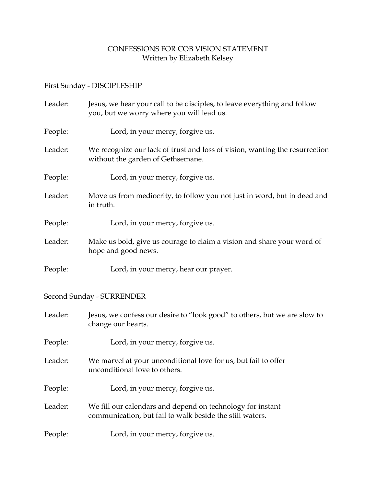## CONFESSIONS FOR COB VISION STATEMENT Written by Elizabeth Kelsey

## First Sunday - DISCIPLESHIP

| Leader: | Jesus, we hear your call to be disciples, to leave everything and follow<br>you, but we worry where you will lead us. |
|---------|-----------------------------------------------------------------------------------------------------------------------|
| People: | Lord, in your mercy, for give us.                                                                                     |
| Leader: | We recognize our lack of trust and loss of vision, wanting the resurrection<br>without the garden of Gethsemane.      |
| People: | Lord, in your mercy, for give us.                                                                                     |
| Leader: | Move us from mediocrity, to follow you not just in word, but in deed and<br>in truth.                                 |
| People: | Lord, in your mercy, forgive us.                                                                                      |
| Leader: | Make us bold, give us courage to claim a vision and share your word of<br>hope and good news.                         |
| People: | Lord, in your mercy, hear our prayer.                                                                                 |

## Second Sunday - SURRENDER

| Leader: | Jesus, we confess our desire to "look good" to others, but we are slow to<br>change our hearts.                        |
|---------|------------------------------------------------------------------------------------------------------------------------|
| People: | Lord, in your mercy, for give us.                                                                                      |
| Leader: | We marvel at your unconditional love for us, but fail to offer<br>unconditional love to others.                        |
| People: | Lord, in your mercy, for give us.                                                                                      |
| Leader: | We fill our calendars and depend on technology for instant<br>communication, but fail to walk beside the still waters. |
| People: | Lord, in your mercy, for give us.                                                                                      |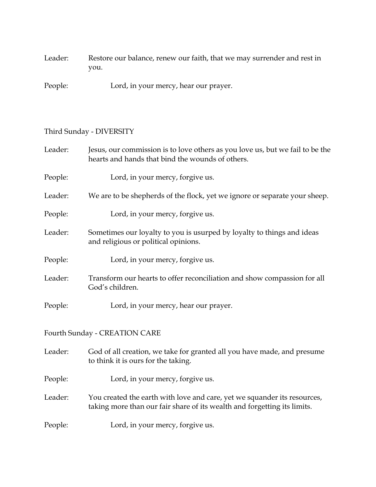Leader: Restore our balance, renew our faith, that we may surrender and rest in you.

People: Lord, in your mercy, hear our prayer.

## Third Sunday - DIVERSITY

| Leader: | Jesus, our commission is to love others as you love us, but we fail to be the<br>hearts and hands that bind the wounds of others.                    |
|---------|------------------------------------------------------------------------------------------------------------------------------------------------------|
| People: | Lord, in your mercy, forgive us.                                                                                                                     |
| Leader: | We are to be shepherds of the flock, yet we ignore or separate your sheep.                                                                           |
| People: | Lord, in your mercy, forgive us.                                                                                                                     |
| Leader: | Sometimes our loyalty to you is usurped by loyalty to things and ideas<br>and religious or political opinions.                                       |
| People: | Lord, in your mercy, forgive us.                                                                                                                     |
| Leader: | Transform our hearts to offer reconciliation and show compassion for all<br>God's children.                                                          |
| People: | Lord, in your mercy, hear our prayer.                                                                                                                |
|         | Fourth Sunday - CREATION CARE                                                                                                                        |
| Leader: | God of all creation, we take for granted all you have made, and presume<br>to think it is ours for the taking.                                       |
| People: | Lord, in your mercy, forgive us.                                                                                                                     |
| Leader: | You created the earth with love and care, yet we squander its resources,<br>taking more than our fair share of its wealth and forgetting its limits. |
| People: | Lord, in your mercy, forgive us.                                                                                                                     |